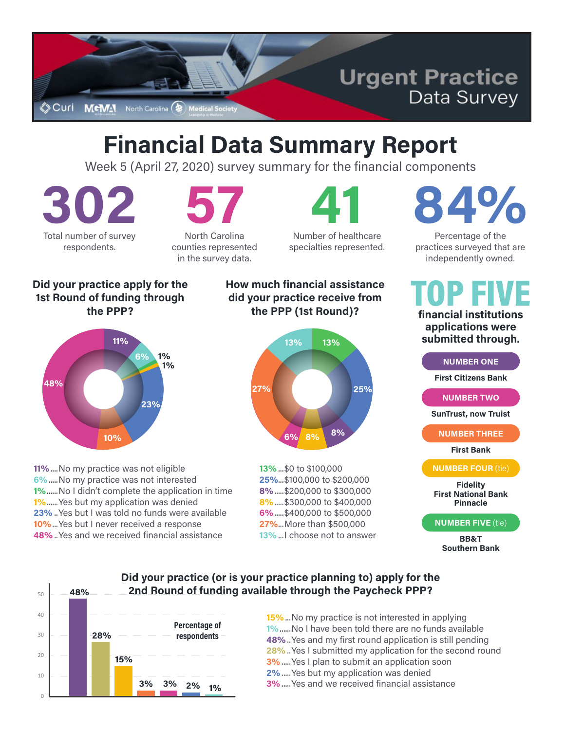

# **Financial Data Summary Report**

Week 5 (April 27, 2020) survey summary for the financial components

**302** Total number of survey respondents.

**57**

North Carolina counties represented in the survey data.

**41** Number of healthcare specialties represented.

# **84%**

Percentage of the practices surveyed that are independently owned.

#### **Did your practice apply for the 1st Round of funding through the PPP?**



**11%**....No my practice was not eligible **6%**.....No my practice was not interested **1%**......No I didn't complete the application in time **1%**......Yes but my application was denied **23%** ..Yes but I was told no funds were available **10%**...Yes but I never received a response **48%**..Yes and we received financial assistance

#### **How much financial assistance did your practice receive from the PPP (1st Round)?**



**13%**...\$0 to \$100,000 **25%**...\$100,000 to \$200,000 **8%**.....\$200,000 to \$300,000 **8%**.....\$300,000 to \$400,000 **6%**.....\$400,000 to \$500,000 **27%**...More than \$500,000 **13%**...I choose not to answer **financial institutions**  TOP FIVE

**applications were submitted through.**

**NUMBER ONE**

**First Citizens Bank**

**NUMBER TWO**

**SunTrust, now Truist**

**NUMBER THREE**

**First Bank**

**NUMBER FOUR** (tie)

**Fidelity First National Bank Pinnacle**

#### **NUMBER FIVE** (tie)

**BB&T Southern Bank**

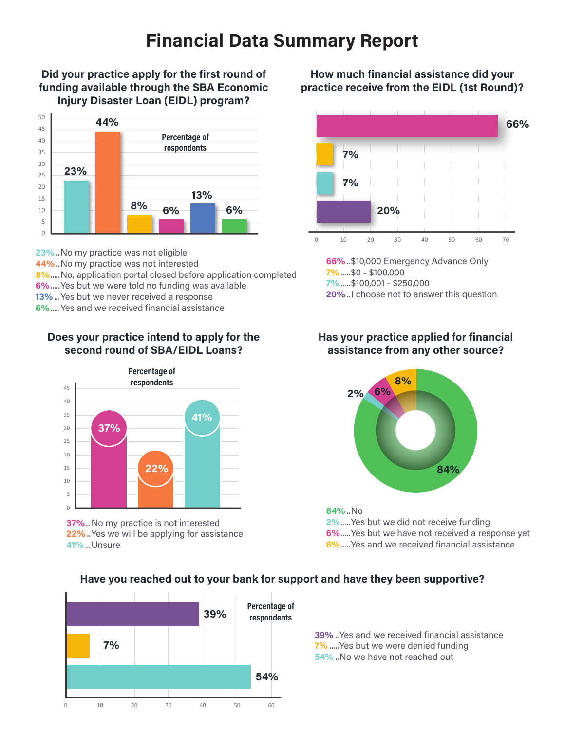## **Financial Data Summary Report**

#### **Did your practice apply for the first round of funding available through the SBA Economic Injury Disaster Loan (EIDL) program?**



**23%** ..No my practice was not eligible **44%** ..No my practice was not interested **8%**.....No, application portal closed before application completed **6%**.....Yes but we were told no funding was available **13%**...Yes but we never received a response **6%**.....Yes and we received financial assistance

#### **Does your practice intend to apply for the second round of SBA/EIDL Loans?**



**37%**...No my practice is not interested **22%** ..Yes we will be applying for assistance **41%**...Unsure

#### **How much financial assistance did your practice receive from the EIDL (1st Round)?**



**66%**..\$10,000 Emergency Advance Only **7%** .....\$0 - \$100,000 **7%** .....\$100,001 - \$250,000 **20%** ..I choose not to answer this question

#### **Has your practice applied for financial assistance from any other source?**



**84%** ..No **2%**.....Yes but we did not receive funding **6%**.....Yes but we have not received a response yet **8%**.....Yes and we received financial assistance



#### **Have you reached out to your bank for support and have they been supportive?**

**39%** ..Yes and we received financial assistance **7%** .....Yes but we were denied funding **54%** ..No we have not reached out